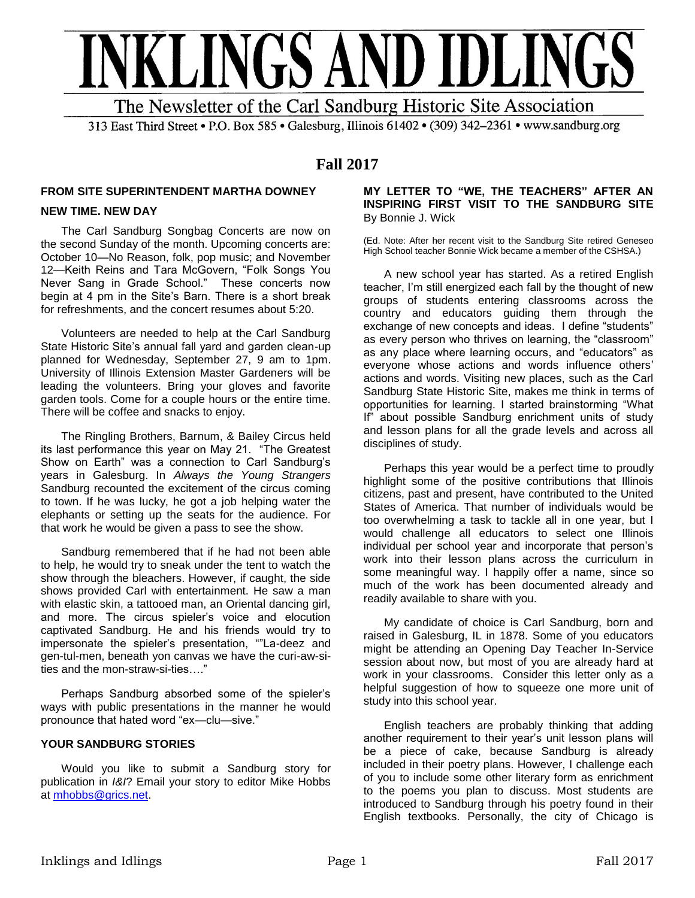

313 East Third Street • P.O. Box 585 • Galesburg, Illinois 61402 • (309) 342-2361 • www.sandburg.org

# **Fall 2017**

#### **FROM SITE SUPERINTENDENT MARTHA DOWNEY**

#### **NEW TIME. NEW DAY**

The Carl Sandburg Songbag Concerts are now on the second Sunday of the month. Upcoming concerts are: October 10—No Reason, folk, pop music; and November 12—Keith Reins and Tara McGovern, "Folk Songs You Never Sang in Grade School." These concerts now begin at 4 pm in the Site's Barn. There is a short break for refreshments, and the concert resumes about 5:20.

Volunteers are needed to help at the Carl Sandburg State Historic Site's annual fall yard and garden clean-up planned for Wednesday, September 27, 9 am to 1pm. University of Illinois Extension Master Gardeners will be leading the volunteers. Bring your gloves and favorite garden tools. Come for a couple hours or the entire time. There will be coffee and snacks to enjoy.

The Ringling Brothers, Barnum, & Bailey Circus held its last performance this year on May 21. "The Greatest Show on Earth" was a connection to Carl Sandburg's years in Galesburg. In *Always the Young Strangers* Sandburg recounted the excitement of the circus coming to town. If he was lucky, he got a job helping water the elephants or setting up the seats for the audience. For that work he would be given a pass to see the show.

Sandburg remembered that if he had not been able to help, he would try to sneak under the tent to watch the show through the bleachers. However, if caught, the side shows provided Carl with entertainment. He saw a man with elastic skin, a tattooed man, an Oriental dancing girl, and more. The circus spieler's voice and elocution captivated Sandburg. He and his friends would try to impersonate the spieler's presentation, ""La-deez and gen-tul-men, beneath yon canvas we have the curi-aw-sities and the mon-straw-si-ties…."

Perhaps Sandburg absorbed some of the spieler's ways with public presentations in the manner he would pronounce that hated word "ex—clu—sive."

### **YOUR SANDBURG STORIES**

Would you like to submit a Sandburg story for publication in *I&I*? Email your story to editor Mike Hobbs at [mhobbs@grics.net.](mailto:mhobbs@grics.net)

#### **MY LETTER TO "WE, THE TEACHERS" AFTER AN INSPIRING FIRST VISIT TO THE SANDBURG SITE**  By Bonnie J. Wick

(Ed. Note: After her recent visit to the Sandburg Site retired Geneseo High School teacher Bonnie Wick became a member of the CSHSA.)

A new school year has started. As a retired English teacher, I'm still energized each fall by the thought of new groups of students entering classrooms across the country and educators guiding them through the exchange of new concepts and ideas. I define "students" as every person who thrives on learning, the "classroom" as any place where learning occurs, and "educators" as everyone whose actions and words influence others' actions and words. Visiting new places, such as the Carl Sandburg State Historic Site, makes me think in terms of opportunities for learning. I started brainstorming "What If" about possible Sandburg enrichment units of study and lesson plans for all the grade levels and across all disciplines of study.

Perhaps this year would be a perfect time to proudly highlight some of the positive contributions that Illinois citizens, past and present, have contributed to the United States of America. That number of individuals would be too overwhelming a task to tackle all in one year, but I would challenge all educators to select one Illinois individual per school year and incorporate that person's work into their lesson plans across the curriculum in some meaningful way. I happily offer a name, since so much of the work has been documented already and readily available to share with you.

My candidate of choice is Carl Sandburg, born and raised in Galesburg, IL in 1878. Some of you educators might be attending an Opening Day Teacher In-Service session about now, but most of you are already hard at work in your classrooms. Consider this letter only as a helpful suggestion of how to squeeze one more unit of study into this school year.

English teachers are probably thinking that adding another requirement to their year's unit lesson plans will be a piece of cake, because Sandburg is already included in their poetry plans. However, I challenge each of you to include some other literary form as enrichment to the poems you plan to discuss. Most students are introduced to Sandburg through his poetry found in their English textbooks. Personally, the city of Chicago is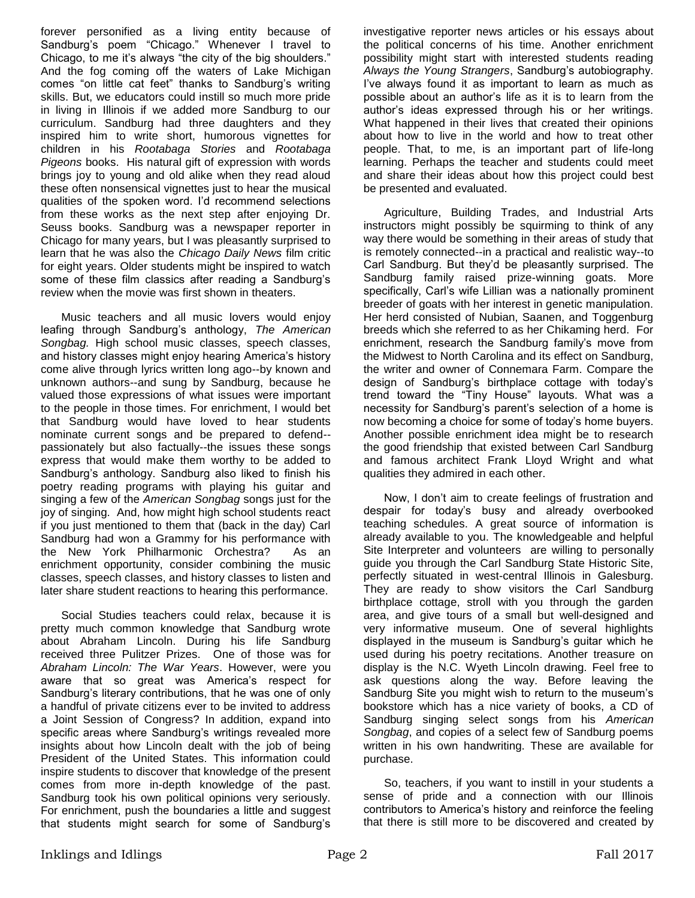forever personified as a living entity because of Sandburg's poem "Chicago." Whenever I travel to Chicago, to me it's always "the city of the big shoulders." And the fog coming off the waters of Lake Michigan comes "on little cat feet" thanks to Sandburg's writing skills. But, we educators could instill so much more pride in living in Illinois if we added more Sandburg to our curriculum. Sandburg had three daughters and they inspired him to write short, humorous vignettes for children in his *Rootabaga Stories* and *Rootabaga Pigeons* books. His natural gift of expression with words brings joy to young and old alike when they read aloud these often nonsensical vignettes just to hear the musical qualities of the spoken word. I'd recommend selections from these works as the next step after enjoying Dr. Seuss books. Sandburg was a newspaper reporter in Chicago for many years, but I was pleasantly surprised to learn that he was also the *Chicago Daily News* film critic for eight years. Older students might be inspired to watch some of these film classics after reading a Sandburg's review when the movie was first shown in theaters.

Music teachers and all music lovers would enjoy leafing through Sandburg's anthology, *The American Songbag.* High school music classes, speech classes, and history classes might enjoy hearing America's history come alive through lyrics written long ago--by known and unknown authors--and sung by Sandburg, because he valued those expressions of what issues were important to the people in those times. For enrichment, I would bet that Sandburg would have loved to hear students nominate current songs and be prepared to defend- passionately but also factually--the issues these songs express that would make them worthy to be added to Sandburg's anthology. Sandburg also liked to finish his poetry reading programs with playing his guitar and singing a few of the *American Songbag* songs just for the joy of singing. And, how might high school students react if you just mentioned to them that (back in the day) Carl Sandburg had won a Grammy for his performance with the New York Philharmonic Orchestra? As an enrichment opportunity, consider combining the music classes, speech classes, and history classes to listen and later share student reactions to hearing this performance.

Social Studies teachers could relax, because it is pretty much common knowledge that Sandburg wrote about Abraham Lincoln. During his life Sandburg received three Pulitzer Prizes. One of those was for *Abraham Lincoln: The War Years*. However, were you aware that so great was America's respect for Sandburg's literary contributions, that he was one of only a handful of private citizens ever to be invited to address a Joint Session of Congress? In addition, expand into specific areas where Sandburg's writings revealed more insights about how Lincoln dealt with the job of being President of the United States. This information could inspire students to discover that knowledge of the present comes from more in-depth knowledge of the past. Sandburg took his own political opinions very seriously. For enrichment, push the boundaries a little and suggest that students might search for some of Sandburg's

investigative reporter news articles or his essays about the political concerns of his time. Another enrichment possibility might start with interested students reading *Always the Young Strangers*, Sandburg's autobiography. I've always found it as important to learn as much as possible about an author's life as it is to learn from the author's ideas expressed through his or her writings. What happened in their lives that created their opinions about how to live in the world and how to treat other people. That, to me, is an important part of life-long learning. Perhaps the teacher and students could meet and share their ideas about how this project could best be presented and evaluated.

Agriculture, Building Trades, and Industrial Arts instructors might possibly be squirming to think of any way there would be something in their areas of study that is remotely connected--in a practical and realistic way--to Carl Sandburg. But they'd be pleasantly surprised. The Sandburg family raised prize-winning goats. More specifically, Carl's wife Lillian was a nationally prominent breeder of goats with her interest in genetic manipulation. Her herd consisted of Nubian, Saanen, and Toggenburg breeds which she referred to as her Chikaming herd. For enrichment, research the Sandburg family's move from the Midwest to North Carolina and its effect on Sandburg, the writer and owner of Connemara Farm. Compare the design of Sandburg's birthplace cottage with today's trend toward the "Tiny House" layouts. What was a necessity for Sandburg's parent's selection of a home is now becoming a choice for some of today's home buyers. Another possible enrichment idea might be to research the good friendship that existed between Carl Sandburg and famous architect Frank Lloyd Wright and what qualities they admired in each other.

Now, I don't aim to create feelings of frustration and despair for today's busy and already overbooked teaching schedules. A great source of information is already available to you. The knowledgeable and helpful Site Interpreter and volunteers are willing to personally guide you through the Carl Sandburg State Historic Site, perfectly situated in west-central Illinois in Galesburg. They are ready to show visitors the Carl Sandburg birthplace cottage, stroll with you through the garden area, and give tours of a small but well-designed and very informative museum. One of several highlights displayed in the museum is Sandburg's guitar which he used during his poetry recitations. Another treasure on display is the N.C. Wyeth Lincoln drawing. Feel free to ask questions along the way. Before leaving the Sandburg Site you might wish to return to the museum's bookstore which has a nice variety of books, a CD of Sandburg singing select songs from his *American Songbag*, and copies of a select few of Sandburg poems written in his own handwriting. These are available for purchase.

So, teachers, if you want to instill in your students a sense of pride and a connection with our Illinois contributors to America's history and reinforce the feeling that there is still more to be discovered and created by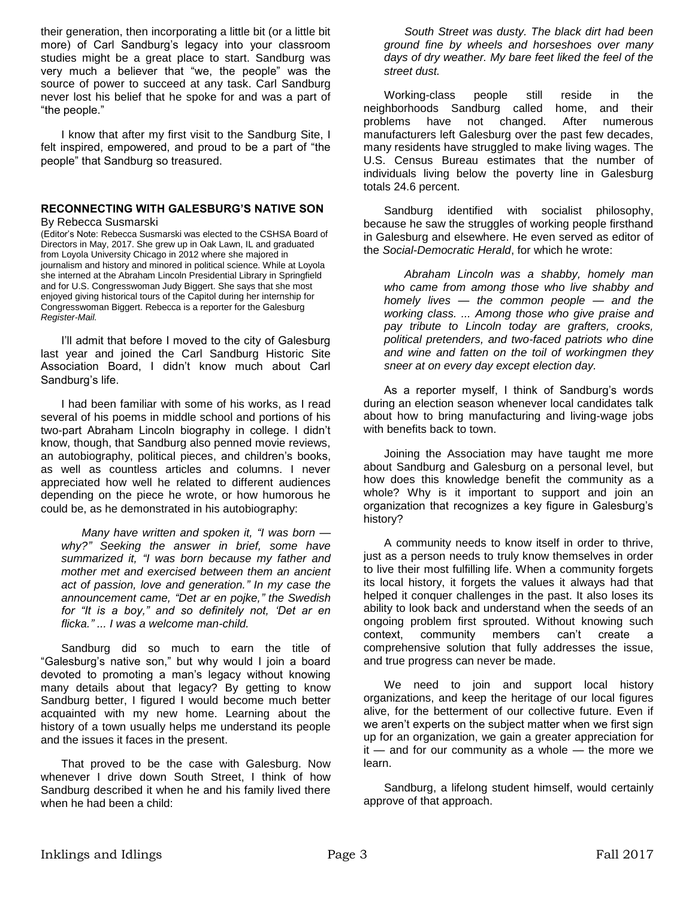their generation, then incorporating a little bit (or a little bit more) of Carl Sandburg's legacy into your classroom studies might be a great place to start. Sandburg was very much a believer that "we, the people" was the source of power to succeed at any task. Carl Sandburg never lost his belief that he spoke for and was a part of "the people."

I know that after my first visit to the Sandburg Site, I felt inspired, empowered, and proud to be a part of "the people" that Sandburg so treasured.

#### **RECONNECTING WITH GALESBURG'S NATIVE SON** By Rebecca Susmarski

(Editor's Note: Rebecca Susmarski was elected to the CSHSA Board of Directors in May, 2017. She grew up in Oak Lawn, IL and graduated from Loyola University Chicago in 2012 where she majored in journalism and history and minored in political science. While at Loyola she interned at the Abraham Lincoln Presidential Library in Springfield and for U.S. Congresswoman Judy Biggert. She says that she most enjoyed giving historical tours of the Capitol during her internship for Congresswoman Biggert. Rebecca is a reporter for the Galesburg *Register-Mail.*

I'll admit that before I moved to the city of Galesburg last year and joined the Carl Sandburg Historic Site Association Board, I didn't know much about Carl Sandburg's life.

I had been familiar with some of his works, as I read several of his poems in middle school and portions of his two-part Abraham Lincoln biography in college. I didn't know, though, that Sandburg also penned movie reviews, an autobiography, political pieces, and children's books, as well as countless articles and columns. I never appreciated how well he related to different audiences depending on the piece he wrote, or how humorous he could be, as he demonstrated in his autobiography:

*Many have written and spoken it, "I was born why?" Seeking the answer in brief, some have summarized it, "I was born because my father and mother met and exercised between them an ancient act of passion, love and generation." In my case the announcement came, "Det ar en pojke," the Swedish for "It is a boy," and so definitely not, 'Det ar en flicka." ... I was a welcome man-child.* 

Sandburg did so much to earn the title of "Galesburg's native son," but why would I join a board devoted to promoting a man's legacy without knowing many details about that legacy? By getting to know Sandburg better, I figured I would become much better acquainted with my new home. Learning about the history of a town usually helps me understand its people and the issues it faces in the present.

That proved to be the case with Galesburg. Now whenever I drive down South Street, I think of how Sandburg described it when he and his family lived there when he had been a child:

*South Street was dusty. The black dirt had been ground fine by wheels and horseshoes over many days of dry weather. My bare feet liked the feel of the street dust.* 

Working-class people still reside in the neighborhoods Sandburg called home, and their problems have not changed. After numerous manufacturers left Galesburg over the past few decades, many residents have struggled to make living wages. The U.S. Census Bureau estimates that the number of individuals living below the poverty line in Galesburg totals 24.6 percent.

Sandburg identified with socialist philosophy, because he saw the struggles of working people firsthand in Galesburg and elsewhere. He even served as editor of the *Social-Democratic Herald*, for which he wrote:

*Abraham Lincoln was a shabby, homely man who came from among those who live shabby and homely lives — the common people — and the working class. ... Among those who give praise and pay tribute to Lincoln today are grafters, crooks, political pretenders, and two-faced patriots who dine and wine and fatten on the toil of workingmen they sneer at on every day except election day.* 

As a reporter myself, I think of Sandburg's words during an election season whenever local candidates talk about how to bring manufacturing and living-wage jobs with benefits back to town.

Joining the Association may have taught me more about Sandburg and Galesburg on a personal level, but how does this knowledge benefit the community as a whole? Why is it important to support and join an organization that recognizes a key figure in Galesburg's history?

A community needs to know itself in order to thrive, just as a person needs to truly know themselves in order to live their most fulfilling life. When a community forgets its local history, it forgets the values it always had that helped it conquer challenges in the past. It also loses its ability to look back and understand when the seeds of an ongoing problem first sprouted. Without knowing such context, community members can't create a comprehensive solution that fully addresses the issue, and true progress can never be made.

We need to join and support local history organizations, and keep the heritage of our local figures alive, for the betterment of our collective future. Even if we aren't experts on the subject matter when we first sign up for an organization, we gain a greater appreciation for it — and for our community as a whole — the more we learn.

Sandburg, a lifelong student himself, would certainly approve of that approach.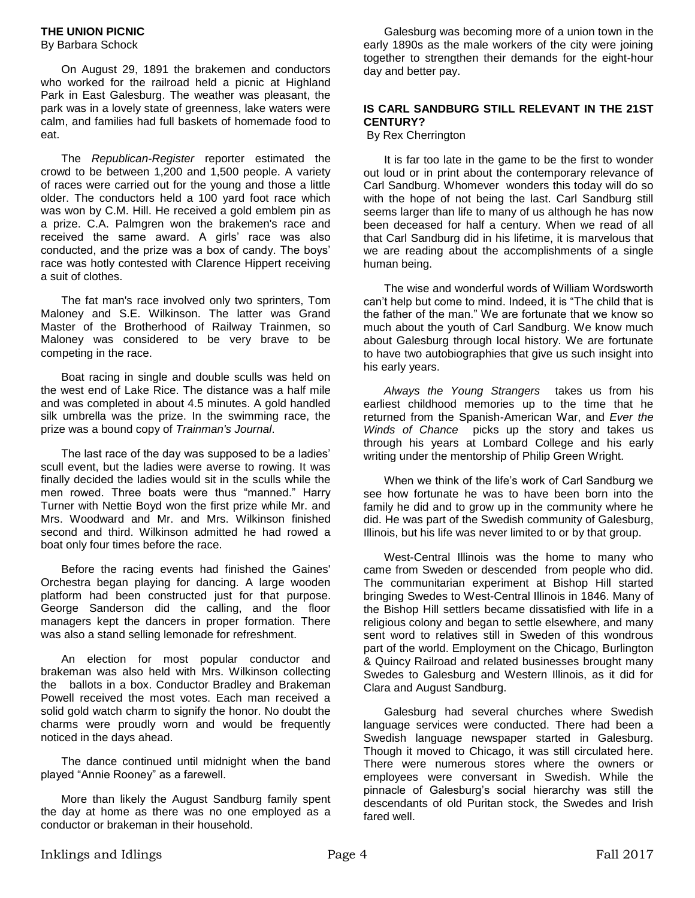By Barbara Schock

On August 29, 1891 the brakemen and conductors who worked for the railroad held a picnic at Highland Park in East Galesburg. The weather was pleasant, the park was in a lovely state of greenness, lake waters were calm, and families had full baskets of homemade food to eat.

The *Republican-Register* reporter estimated the crowd to be between 1,200 and 1,500 people. A variety of races were carried out for the young and those a little older. The conductors held a 100 yard foot race which was won by C.M. Hill. He received a gold emblem pin as a prize. C.A. Palmgren won the brakemen's race and received the same award. A girls' race was also conducted, and the prize was a box of candy. The boys' race was hotly contested with Clarence Hippert receiving a suit of clothes.

The fat man's race involved only two sprinters, Tom Maloney and S.E. Wilkinson. The latter was Grand Master of the Brotherhood of Railway Trainmen, so Maloney was considered to be very brave to be competing in the race.

Boat racing in single and double sculls was held on the west end of Lake Rice. The distance was a half mile and was completed in about 4.5 minutes. A gold handled silk umbrella was the prize. In the swimming race, the prize was a bound copy of *Trainman's Journal*.

The last race of the day was supposed to be a ladies' scull event, but the ladies were averse to rowing. It was finally decided the ladies would sit in the sculls while the men rowed. Three boats were thus "manned." Harry Turner with Nettie Boyd won the first prize while Mr. and Mrs. Woodward and Mr. and Mrs. Wilkinson finished second and third. Wilkinson admitted he had rowed a boat only four times before the race.

Before the racing events had finished the Gaines' Orchestra began playing for dancing. A large wooden platform had been constructed just for that purpose. George Sanderson did the calling, and the floor managers kept the dancers in proper formation. There was also a stand selling lemonade for refreshment.

An election for most popular conductor and brakeman was also held with Mrs. Wilkinson collecting the ballots in a box. Conductor Bradley and Brakeman Powell received the most votes. Each man received a solid gold watch charm to signify the honor. No doubt the charms were proudly worn and would be frequently noticed in the days ahead.

The dance continued until midnight when the band played "Annie Rooney" as a farewell.

More than likely the August Sandburg family spent the day at home as there was no one employed as a conductor or brakeman in their household.

Galesburg was becoming more of a union town in the early 1890s as the male workers of the city were joining together to strengthen their demands for the eight-hour day and better pay.

#### **IS CARL SANDBURG STILL RELEVANT IN THE 21ST CENTURY?**

By Rex Cherrington

It is far too late in the game to be the first to wonder out loud or in print about the contemporary relevance of Carl Sandburg. Whomever wonders this today will do so with the hope of not being the last. Carl Sandburg still seems larger than life to many of us although he has now been deceased for half a century. When we read of all that Carl Sandburg did in his lifetime, it is marvelous that we are reading about the accomplishments of a single human being.

The wise and wonderful words of William Wordsworth can't help but come to mind. Indeed, it is "The child that is the father of the man." We are fortunate that we know so much about the youth of Carl Sandburg. We know much about Galesburg through local history. We are fortunate to have two autobiographies that give us such insight into his early years.

*Always the Young Strangers* takes us from his earliest childhood memories up to the time that he returned from the Spanish-American War, and *Ever the Winds of Chance* picks up the story and takes us through his years at Lombard College and his early writing under the mentorship of Philip Green Wright.

When we think of the life's work of Carl Sandburg we see how fortunate he was to have been born into the family he did and to grow up in the community where he did. He was part of the Swedish community of Galesburg, Illinois, but his life was never limited to or by that group.

West-Central Illinois was the home to many who came from Sweden or descended from people who did. The communitarian experiment at Bishop Hill started bringing Swedes to West-Central Illinois in 1846. Many of the Bishop Hill settlers became dissatisfied with life in a religious colony and began to settle elsewhere, and many sent word to relatives still in Sweden of this wondrous part of the world. Employment on the Chicago, Burlington & Quincy Railroad and related businesses brought many Swedes to Galesburg and Western Illinois, as it did for Clara and August Sandburg.

Galesburg had several churches where Swedish language services were conducted. There had been a Swedish language newspaper started in Galesburg. Though it moved to Chicago, it was still circulated here. There were numerous stores where the owners or employees were conversant in Swedish. While the pinnacle of Galesburg's social hierarchy was still the descendants of old Puritan stock, the Swedes and Irish fared well.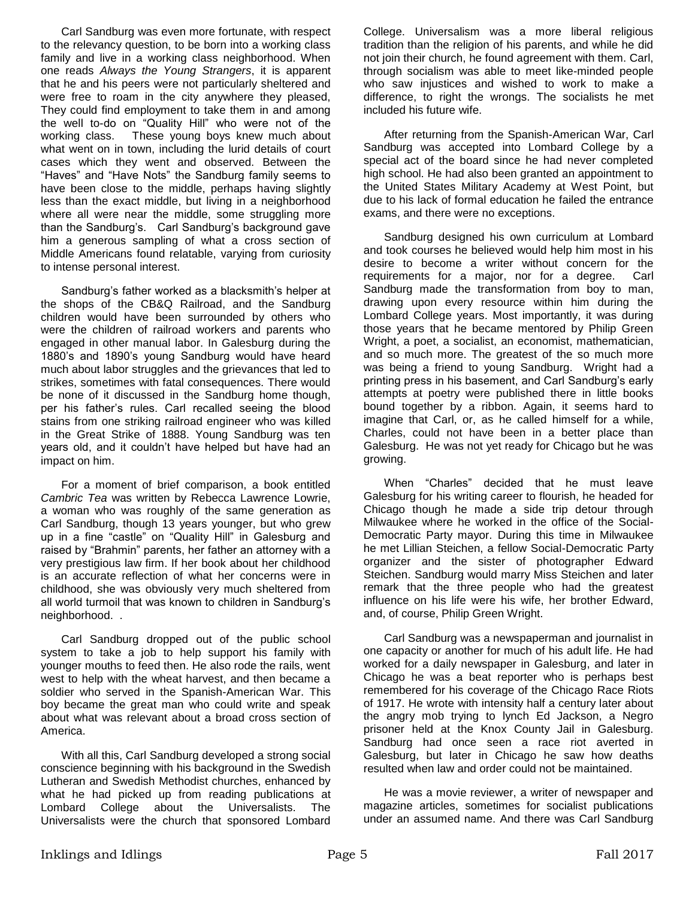Carl Sandburg was even more fortunate, with respect to the relevancy question, to be born into a working class family and live in a working class neighborhood. When one reads *Always the Young Strangers*, it is apparent that he and his peers were not particularly sheltered and were free to roam in the city anywhere they pleased, They could find employment to take them in and among the well to-do on "Quality Hill" who were not of the working class. These young boys knew much about what went on in town, including the lurid details of court cases which they went and observed. Between the "Haves" and "Have Nots" the Sandburg family seems to have been close to the middle, perhaps having slightly less than the exact middle, but living in a neighborhood where all were near the middle, some struggling more than the Sandburg's. Carl Sandburg's background gave him a generous sampling of what a cross section of Middle Americans found relatable, varying from curiosity to intense personal interest.

Sandburg's father worked as a blacksmith's helper at the shops of the CB&Q Railroad, and the Sandburg children would have been surrounded by others who were the children of railroad workers and parents who engaged in other manual labor. In Galesburg during the 1880's and 1890's young Sandburg would have heard much about labor struggles and the grievances that led to strikes, sometimes with fatal consequences. There would be none of it discussed in the Sandburg home though, per his father's rules. Carl recalled seeing the blood stains from one striking railroad engineer who was killed in the Great Strike of 1888. Young Sandburg was ten years old, and it couldn't have helped but have had an impact on him.

For a moment of brief comparison, a book entitled *Cambric Tea* was written by Rebecca Lawrence Lowrie, a woman who was roughly of the same generation as Carl Sandburg, though 13 years younger, but who grew up in a fine "castle" on "Quality Hill" in Galesburg and raised by "Brahmin" parents, her father an attorney with a very prestigious law firm. If her book about her childhood is an accurate reflection of what her concerns were in childhood, she was obviously very much sheltered from all world turmoil that was known to children in Sandburg's neighborhood. .

Carl Sandburg dropped out of the public school system to take a job to help support his family with younger mouths to feed then. He also rode the rails, went west to help with the wheat harvest, and then became a soldier who served in the Spanish-American War. This boy became the great man who could write and speak about what was relevant about a broad cross section of America.

With all this, Carl Sandburg developed a strong social conscience beginning with his background in the Swedish Lutheran and Swedish Methodist churches, enhanced by what he had picked up from reading publications at Lombard College about the Universalists. The Universalists were the church that sponsored Lombard

College. Universalism was a more liberal religious tradition than the religion of his parents, and while he did not join their church, he found agreement with them. Carl, through socialism was able to meet like-minded people who saw injustices and wished to work to make a difference, to right the wrongs. The socialists he met included his future wife.

After returning from the Spanish-American War, Carl Sandburg was accepted into Lombard College by a special act of the board since he had never completed high school. He had also been granted an appointment to the United States Military Academy at West Point, but due to his lack of formal education he failed the entrance exams, and there were no exceptions.

Sandburg designed his own curriculum at Lombard and took courses he believed would help him most in his desire to become a writer without concern for the requirements for a major, nor for a degree. Carl Sandburg made the transformation from boy to man, drawing upon every resource within him during the Lombard College years. Most importantly, it was during those years that he became mentored by Philip Green Wright, a poet, a socialist, an economist, mathematician, and so much more. The greatest of the so much more was being a friend to young Sandburg. Wright had a printing press in his basement, and Carl Sandburg's early attempts at poetry were published there in little books bound together by a ribbon. Again, it seems hard to imagine that Carl, or, as he called himself for a while, Charles, could not have been in a better place than Galesburg. He was not yet ready for Chicago but he was growing.

When "Charles" decided that he must leave Galesburg for his writing career to flourish, he headed for Chicago though he made a side trip detour through Milwaukee where he worked in the office of the Social-Democratic Party mayor. During this time in Milwaukee he met Lillian Steichen, a fellow Social-Democratic Party organizer and the sister of photographer Edward Steichen. Sandburg would marry Miss Steichen and later remark that the three people who had the greatest influence on his life were his wife, her brother Edward, and, of course, Philip Green Wright.

Carl Sandburg was a newspaperman and journalist in one capacity or another for much of his adult life. He had worked for a daily newspaper in Galesburg, and later in Chicago he was a beat reporter who is perhaps best remembered for his coverage of the Chicago Race Riots of 1917. He wrote with intensity half a century later about the angry mob trying to lynch Ed Jackson, a Negro prisoner held at the Knox County Jail in Galesburg. Sandburg had once seen a race riot averted in Galesburg, but later in Chicago he saw how deaths resulted when law and order could not be maintained.

He was a movie reviewer, a writer of newspaper and magazine articles, sometimes for socialist publications under an assumed name. And there was Carl Sandburg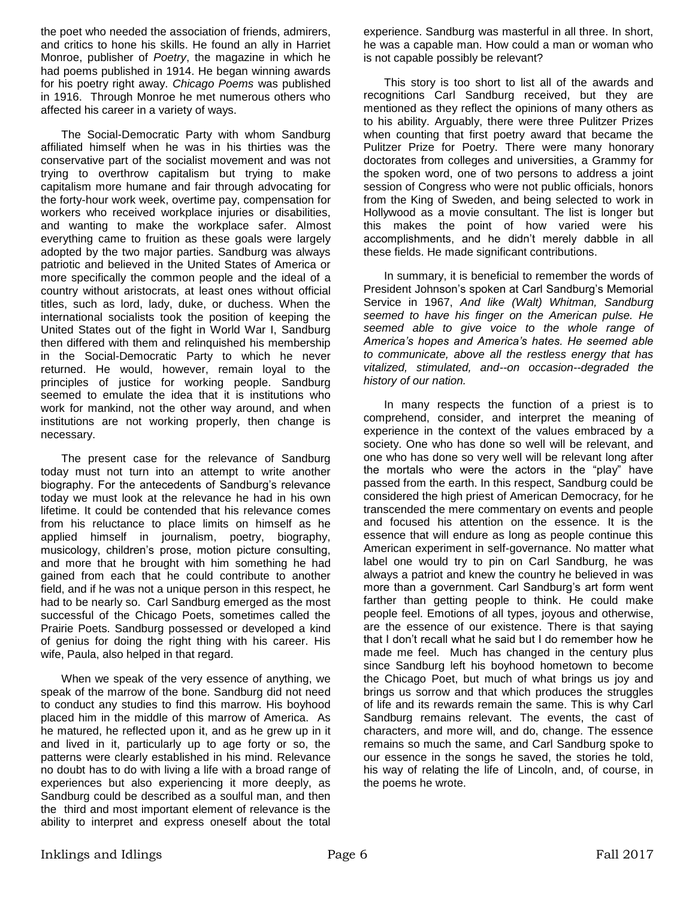the poet who needed the association of friends, admirers, and critics to hone his skills. He found an ally in Harriet Monroe, publisher of *Poetry*, the magazine in which he had poems published in 1914. He began winning awards for his poetry right away. *Chicago Poems* was published in 1916. Through Monroe he met numerous others who affected his career in a variety of ways.

The Social-Democratic Party with whom Sandburg affiliated himself when he was in his thirties was the conservative part of the socialist movement and was not trying to overthrow capitalism but trying to make capitalism more humane and fair through advocating for the forty-hour work week, overtime pay, compensation for workers who received workplace injuries or disabilities, and wanting to make the workplace safer. Almost everything came to fruition as these goals were largely adopted by the two major parties. Sandburg was always patriotic and believed in the United States of America or more specifically the common people and the ideal of a country without aristocrats, at least ones without official titles, such as lord, lady, duke, or duchess. When the international socialists took the position of keeping the United States out of the fight in World War I, Sandburg then differed with them and relinquished his membership in the Social-Democratic Party to which he never returned. He would, however, remain loyal to the principles of justice for working people. Sandburg seemed to emulate the idea that it is institutions who work for mankind, not the other way around, and when institutions are not working properly, then change is necessary.

The present case for the relevance of Sandburg today must not turn into an attempt to write another biography. For the antecedents of Sandburg's relevance today we must look at the relevance he had in his own lifetime. It could be contended that his relevance comes from his reluctance to place limits on himself as he applied himself in journalism, poetry, biography, musicology, children's prose, motion picture consulting, and more that he brought with him something he had gained from each that he could contribute to another field, and if he was not a unique person in this respect, he had to be nearly so. Carl Sandburg emerged as the most successful of the Chicago Poets, sometimes called the Prairie Poets. Sandburg possessed or developed a kind of genius for doing the right thing with his career. His wife, Paula, also helped in that regard.

When we speak of the very essence of anything, we speak of the marrow of the bone. Sandburg did not need to conduct any studies to find this marrow. His boyhood placed him in the middle of this marrow of America. As he matured, he reflected upon it, and as he grew up in it and lived in it, particularly up to age forty or so, the patterns were clearly established in his mind. Relevance no doubt has to do with living a life with a broad range of experiences but also experiencing it more deeply, as Sandburg could be described as a soulful man, and then the third and most important element of relevance is the ability to interpret and express oneself about the total experience. Sandburg was masterful in all three. In short, he was a capable man. How could a man or woman who is not capable possibly be relevant?

This story is too short to list all of the awards and recognitions Carl Sandburg received, but they are mentioned as they reflect the opinions of many others as to his ability. Arguably, there were three Pulitzer Prizes when counting that first poetry award that became the Pulitzer Prize for Poetry. There were many honorary doctorates from colleges and universities, a Grammy for the spoken word, one of two persons to address a joint session of Congress who were not public officials, honors from the King of Sweden, and being selected to work in Hollywood as a movie consultant. The list is longer but this makes the point of how varied were his accomplishments, and he didn't merely dabble in all these fields. He made significant contributions.

In summary, it is beneficial to remember the words of President Johnson's spoken at Carl Sandburg's Memorial Service in 1967, *And like (Walt) Whitman, Sandburg seemed to have his finger on the American pulse. He seemed able to give voice to the whole range of America's hopes and America's hates. He seemed able to communicate, above all the restless energy that has vitalized, stimulated, and--on occasion--degraded the history of our nation.*

In many respects the function of a priest is to comprehend, consider, and interpret the meaning of experience in the context of the values embraced by a society. One who has done so well will be relevant, and one who has done so very well will be relevant long after the mortals who were the actors in the "play" have passed from the earth. In this respect, Sandburg could be considered the high priest of American Democracy, for he transcended the mere commentary on events and people and focused his attention on the essence. It is the essence that will endure as long as people continue this American experiment in self-governance. No matter what label one would try to pin on Carl Sandburg, he was always a patriot and knew the country he believed in was more than a government. Carl Sandburg's art form went farther than getting people to think. He could make people feel. Emotions of all types, joyous and otherwise, are the essence of our existence. There is that saying that I don't recall what he said but I do remember how he made me feel. Much has changed in the century plus since Sandburg left his boyhood hometown to become the Chicago Poet, but much of what brings us joy and brings us sorrow and that which produces the struggles of life and its rewards remain the same. This is why Carl Sandburg remains relevant. The events, the cast of characters, and more will, and do, change. The essence remains so much the same, and Carl Sandburg spoke to our essence in the songs he saved, the stories he told, his way of relating the life of Lincoln, and, of course, in the poems he wrote.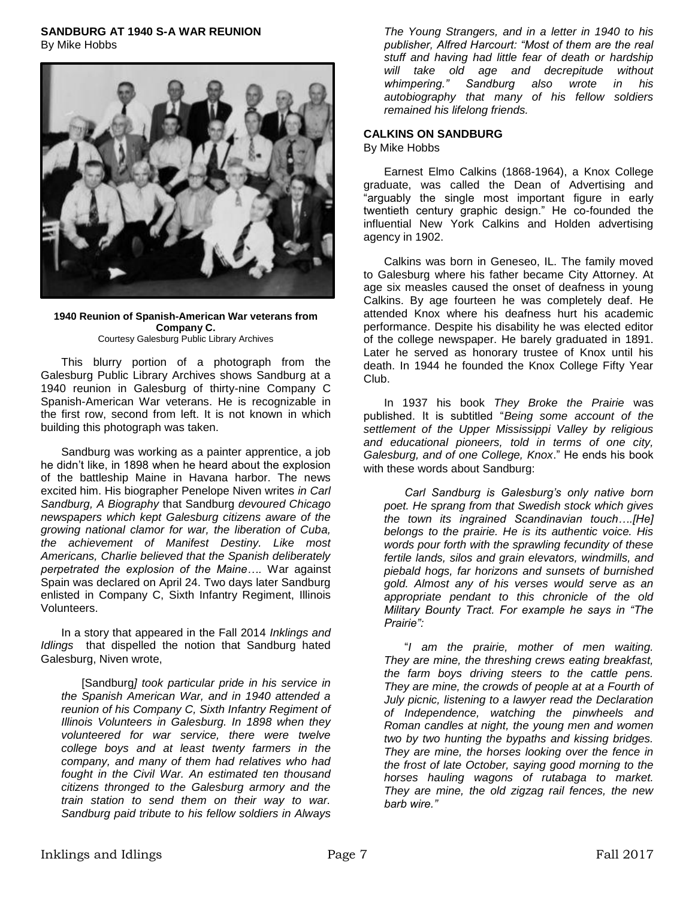## **SANDBURG AT 1940 S-A WAR REUNION**

By Mike Hobbs



**1940 Reunion of Spanish-American War veterans from Company C.** Courtesy Galesburg Public Library Archives

This blurry portion of a photograph from the Galesburg Public Library Archives shows Sandburg at a 1940 reunion in Galesburg of thirty-nine Company C Spanish-American War veterans. He is recognizable in the first row, second from left. It is not known in which building this photograph was taken.

Sandburg was working as a painter apprentice, a job he didn't like, in 1898 when he heard about the explosion of the battleship Maine in Havana harbor. The news excited him. His biographer Penelope Niven writes *in Carl Sandburg, A Biography* that Sandburg *devoured Chicago newspapers which kept Galesburg citizens aware of the growing national clamor for war, the liberation of Cuba, the achievement of Manifest Destiny. Like most Americans, Charlie believed that the Spanish deliberately perpetrated the explosion of the Maine….* War against Spain was declared on April 24. Two days later Sandburg enlisted in Company C, Sixth Infantry Regiment, Illinois Volunteers.

In a story that appeared in the Fall 2014 *Inklings and Idlings* that dispelled the notion that Sandburg hated Galesburg, Niven wrote,

[Sandburg*] took particular pride in his service in the Spanish American War, and in 1940 attended a reunion of his Company C, Sixth Infantry Regiment of Illinois Volunteers in Galesburg. In 1898 when they volunteered for war service, there were twelve college boys and at least twenty farmers in the company, and many of them had relatives who had fought in the Civil War. An estimated ten thousand citizens thronged to the Galesburg armory and the train station to send them on their way to war. Sandburg paid tribute to his fellow soldiers in Always* 

*The Young Strangers, and in a letter in 1940 to his publisher, Alfred Harcourt: "Most of them are the real stuff and having had little fear of death or hardship will take old age and decrepitude without whimpering." Sandburg also wrote in his autobiography that many of his fellow soldiers remained his lifelong friends.* 

# **CALKINS ON SANDBURG**

By Mike Hobbs

Earnest Elmo Calkins (1868-1964), a Knox College graduate, was called the Dean of Advertising and "arguably the single most important figure in early twentieth century graphic design." He co-founded the influential New York Calkins and Holden advertising agency in 1902.

Calkins was born in Geneseo, IL. The family moved to Galesburg where his father became City Attorney. At age six measles caused the onset of deafness in young Calkins. By age fourteen he was completely deaf. He attended Knox where his deafness hurt his academic performance. Despite his disability he was elected editor of the college newspaper. He barely graduated in 1891. Later he served as honorary trustee of Knox until his death. In 1944 he founded the Knox College Fifty Year Club.

In 1937 his book *They Broke the Prairie* was published. It is subtitled "*Being some account of the settlement of the Upper Mississippi Valley by religious and educational pioneers, told in terms of one city, Galesburg, and of one College, Knox*." He ends his book with these words about Sandburg:

*Carl Sandburg is Galesburg's only native born poet. He sprang from that Swedish stock which gives the town its ingrained Scandinavian touch….[He] belongs to the prairie. He is its authentic voice. His words pour forth with the sprawling fecundity of these fertile lands, silos and grain elevators, windmills, and piebald hogs, far horizons and sunsets of burnished gold. Almost any of his verses would serve as an appropriate pendant to this chronicle of the old Military Bounty Tract. For example he says in "The Prairie":*

"*I am the prairie, mother of men waiting. They are mine, the threshing crews eating breakfast, the farm boys driving steers to the cattle pens. They are mine, the crowds of people at at a Fourth of July picnic, listening to a lawyer read the Declaration of Independence, watching the pinwheels and Roman candles at night, the young men and women two by two hunting the bypaths and kissing bridges. They are mine, the horses looking over the fence in the frost of late October, saying good morning to the horses hauling wagons of rutabaga to market. They are mine, the old zigzag rail fences, the new barb wire."*